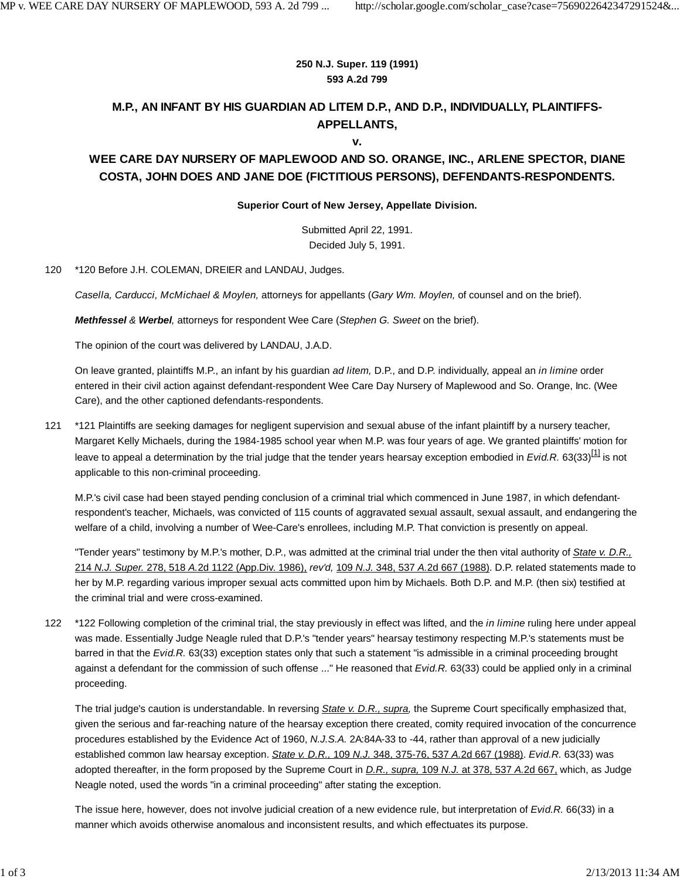#### **250 N.J. Super. 119 (1991) 593 A.2d 799**

# **M.P., AN INFANT BY HIS GUARDIAN AD LITEM D.P., AND D.P., INDIVIDUALLY, PLAINTIFFS-APPELLANTS,**

**v.**

# **WEE CARE DAY NURSERY OF MAPLEWOOD AND SO. ORANGE, INC., ARLENE SPECTOR, DIANE COSTA, JOHN DOES AND JANE DOE (FICTITIOUS PERSONS), DEFENDANTS-RESPONDENTS.**

### **Superior Court of New Jersey, Appellate Division.**

Submitted April 22, 1991. Decided July 5, 1991.

120 \*120 Before J.H. COLEMAN, DREIER and LANDAU, Judges.

*Casella, Carducci, McMichael & Moylen,* attorneys for appellants (*Gary Wm. Moylen,* of counsel and on the brief).

*Methfessel & Werbel,* attorneys for respondent Wee Care (*Stephen G. Sweet* on the brief).

The opinion of the court was delivered by LANDAU, J.A.D.

On leave granted, plaintiffs M.P., an infant by his guardian *ad litem,* D.P., and D.P. individually, appeal an *in limine* order entered in their civil action against defendant-respondent Wee Care Day Nursery of Maplewood and So. Orange, Inc. (Wee Care), and the other captioned defendants-respondents.

121 \*121 Plaintiffs are seeking damages for negligent supervision and sexual abuse of the infant plaintiff by a nursery teacher, Margaret Kelly Michaels, during the 1984-1985 school year when M.P. was four years of age. We granted plaintiffs' motion for leave to appeal a determination by the trial judge that the tender years hearsay exception embodied in *Evid.R.* 63(33)<sup>[1]</sup> is not applicable to this non-criminal proceeding.

M.P.'s civil case had been stayed pending conclusion of a criminal trial which commenced in June 1987, in which defendantrespondent's teacher, Michaels, was convicted of 115 counts of aggravated sexual assault, sexual assault, and endangering the welfare of a child, involving a number of Wee-Care's enrollees, including M.P. That conviction is presently on appeal.

"Tender years" testimony by M.P.'s mother, D.P., was admitted at the criminal trial under the then vital authority of *State v. D.R.,* 214 *N.J. Super.* 278, 518 *A.*2d 1122 (App.Div. 1986), *rev'd,* 109 *N.J.* 348, 537 *A.*2d 667 (1988). D.P. related statements made to her by M.P. regarding various improper sexual acts committed upon him by Michaels. Both D.P. and M.P. (then six) testified at the criminal trial and were cross-examined.

\*122 Following completion of the criminal trial, the stay previously in effect was lifted, and the *in limine* ruling here under appeal was made. Essentially Judge Neagle ruled that D.P.'s "tender years" hearsay testimony respecting M.P.'s statements must be barred in that the *Evid.R.* 63(33) exception states only that such a statement "is admissible in a criminal proceeding brought against a defendant for the commission of such offense ..." He reasoned that *Evid.R.* 63(33) could be applied only in a criminal proceeding. 122

The trial judge's caution is understandable. In reversing *State v. D.R., supra,* the Supreme Court specifically emphasized that, given the serious and far-reaching nature of the hearsay exception there created, comity required invocation of the concurrence procedures established by the Evidence Act of 1960, *N.J.S.A.* 2A:84A-33 to -44, rather than approval of a new judicially established common law hearsay exception. *State v. D.R.,* 109 *N.J.* 348, 375-76, 537 *A.*2d 667 (1988). *Evid.R.* 63(33) was adopted thereafter, in the form proposed by the Supreme Court in *D.R., supra,* 109 *N.J.* at 378, 537 *A.*2d 667, which, as Judge Neagle noted, used the words "in a criminal proceeding" after stating the exception.

The issue here, however, does not involve judicial creation of a new evidence rule, but interpretation of *Evid.R.* 66(33) in a manner which avoids otherwise anomalous and inconsistent results, and which effectuates its purpose.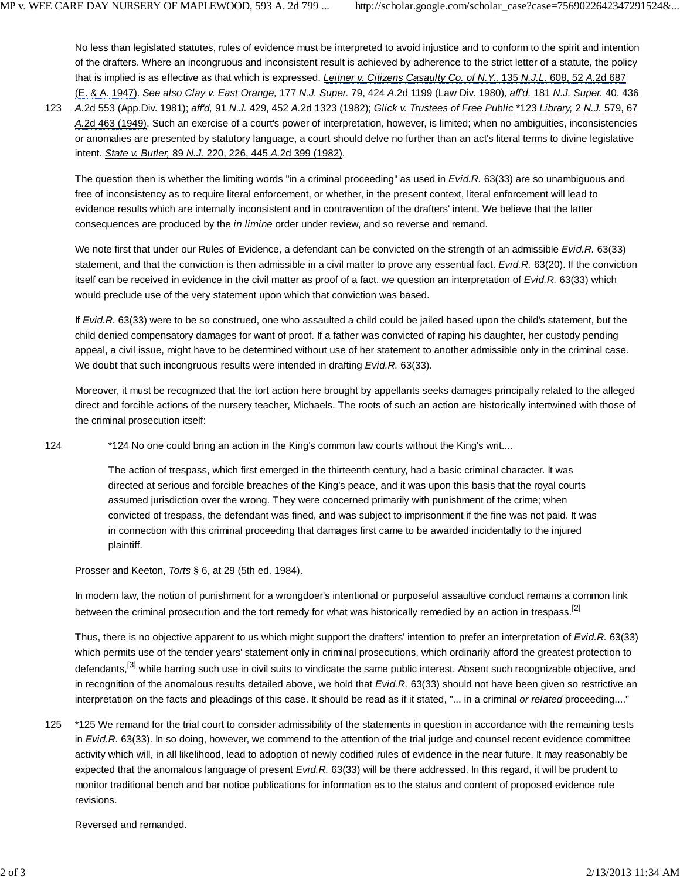No less than legislated statutes, rules of evidence must be interpreted to avoid injustice and to conform to the spirit and intention of the drafters. Where an incongruous and inconsistent result is achieved by adherence to the strict letter of a statute, the policy that is implied is as effective as that which is expressed. *Leitner v. Citizens Casaulty Co. of N.Y.,* 135 *N.J.L.* 608, 52 *A.*2d 687 (E. & A. 1947). *See also Clay v. East Orange,* 177 *N.J. Super.* 79, 424 *A.*2d 1199 (Law Div. 1980), *aff'd,* 181 *N.J. Super.* 40, 436

*A.*2d 553 (App.Div. 1981); *aff'd,* 91 *N.J.* 429, 452 *A.*2d 1323 (1982); *Glick v. Trustees of Free Public* \*123 *Library,* 2 *N.J.* 579, 67 *A.*2d 463 (1949). Such an exercise of a court's power of interpretation, however, is limited; when no ambiguities, inconsistencies or anomalies are presented by statutory language, a court should delve no further than an act's literal terms to divine legislative intent. *State v. Butler,* 89 *N.J.* 220, 226, 445 *A.*2d 399 (1982). 123

The question then is whether the limiting words "in a criminal proceeding" as used in *Evid.R.* 63(33) are so unambiguous and free of inconsistency as to require literal enforcement, or whether, in the present context, literal enforcement will lead to evidence results which are internally inconsistent and in contravention of the drafters' intent. We believe that the latter consequences are produced by the *in limine* order under review, and so reverse and remand.

We note first that under our Rules of Evidence, a defendant can be convicted on the strength of an admissible *Evid.R.* 63(33) statement, and that the conviction is then admissible in a civil matter to prove any essential fact. *Evid.R.* 63(20). If the conviction itself can be received in evidence in the civil matter as proof of a fact, we question an interpretation of *Evid.R.* 63(33) which would preclude use of the very statement upon which that conviction was based.

If *Evid.R.* 63(33) were to be so construed, one who assaulted a child could be jailed based upon the child's statement, but the child denied compensatory damages for want of proof. If a father was convicted of raping his daughter, her custody pending appeal, a civil issue, might have to be determined without use of her statement to another admissible only in the criminal case. We doubt that such incongruous results were intended in drafting *Evid.R.* 63(33).

Moreover, it must be recognized that the tort action here brought by appellants seeks damages principally related to the alleged direct and forcible actions of the nursery teacher, Michaels. The roots of such an action are historically intertwined with those of the criminal prosecution itself:

124 \*124 No one could bring an action in the King's common law courts without the King's writ....

The action of trespass, which first emerged in the thirteenth century, had a basic criminal character. It was directed at serious and forcible breaches of the King's peace, and it was upon this basis that the royal courts assumed jurisdiction over the wrong. They were concerned primarily with punishment of the crime; when convicted of trespass, the defendant was fined, and was subject to imprisonment if the fine was not paid. It was in connection with this criminal proceeding that damages first came to be awarded incidentally to the injured plaintiff.

Prosser and Keeton, *Torts* § 6, at 29 (5th ed. 1984).

In modern law, the notion of punishment for a wrongdoer's intentional or purposeful assaultive conduct remains a common link between the criminal prosecution and the tort remedy for what was historically remedied by an action in trespass.<sup>[2]</sup>

Thus, there is no objective apparent to us which might support the drafters' intention to prefer an interpretation of *Evid.R.* 63(33) which permits use of the tender years' statement only in criminal prosecutions, which ordinarily afford the greatest protection to defendants,<sup>[3]</sup> while barring such use in civil suits to vindicate the same public interest. Absent such recognizable objective, and in recognition of the anomalous results detailed above, we hold that *Evid.R.* 63(33) should not have been given so restrictive an interpretation on the facts and pleadings of this case. It should be read as if it stated, "... in a criminal *or related* proceeding...."

\*125 We remand for the trial court to consider admissibility of the statements in question in accordance with the remaining tests in *Evid.R.* 63(33). In so doing, however, we commend to the attention of the trial judge and counsel recent evidence committee activity which will, in all likelihood, lead to adoption of newly codified rules of evidence in the near future. It may reasonably be expected that the anomalous language of present *Evid.R.* 63(33) will be there addressed. In this regard, it will be prudent to monitor traditional bench and bar notice publications for information as to the status and content of proposed evidence rule revisions. 125

Reversed and remanded.